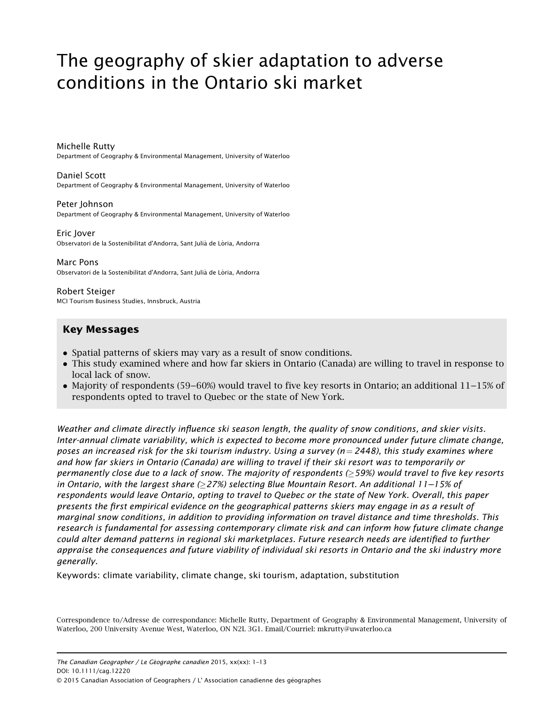# The geography of skier adaptation to adverse conditions in the Ontario ski market

Michelle Rutty Department of Geography & Environmental Management, University of Waterloo

#### Daniel Scott

Department of Geography & Environmental Management, University of Waterloo

#### Peter Johnson

Department of Geography & Environmental Management, University of Waterloo

#### Eric Jover

Observatori de la Sostenibilitat d'Andorra, Sant Julià de Lòria, Andorra

#### Marc Pons

Observatori de la Sostenibilitat d'Andorra, Sant Julià de Lòria, Andorra

Robert Steiger MCI Tourism Business Studies, Innsbruck, Austria

# Key Messages

- Spatial patterns of skiers may vary as a result of snow conditions.
- This study examined where and how far skiers in Ontario (Canada) are willing to travel in response to local lack of snow.
- Majority of respondents (59–60%) would travel to five key resorts in Ontario; an additional  $11-15\%$  of respondents opted to travel to Quebec or the state of New York.

Weather and climate directly influence ski season lenath, the quality of snow conditions, and skier visits. Inter-annual climate variability, which is expected to become more pronounced under future climate change, poses an increased risk for the ski tourism industry. Using a survey ( $n = 2448$ ), this study examines where and how far skiers in Ontario (Canada) are willing to travel if their ski resort was to temporarily or permanently close due to a lack of snow. The majority of respondents ( $\geq$ 59%) would travel to five key resorts in Ontario, with the largest share  $(27%)$  selecting Blue Mountain Resort. An additional 11–15% of respondents would leave Ontario, opting to travel to Quebec or the state of New York. Overall, this paper presents the first empirical evidence on the geographical patterns skiers may engage in as a result of marginal snow conditions, in addition to providing information on travel distance and time thresholds. This research is fundamental for assessing contemporary climate risk and can inform how future climate change could alter demand patterns in regional ski marketplaces. Future research needs are identified to further appraise the consequences and future viability of individual ski resorts in Ontario and the ski industry more generally.

Keywords: climate variability, climate change, ski tourism, adaptation, substitution

Correspondence to/Adresse de correspondance: Michelle Rutty, Department of Geography & Environmental Management, University of Waterloo, 200 University Avenue West, Waterloo, ON N2L 3G1. Email/Courriel: mkrutty@uwaterloo.ca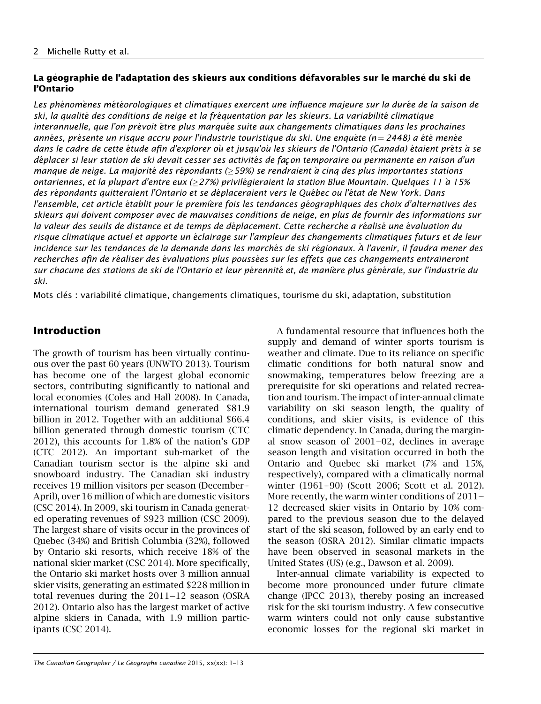# La géographie de l'adaptation des skieurs aux conditions défavorables sur le marché du ski de l'Ontario

Les phénomènes météorologiques et climatiques exercent une influence majeure sur la durée de la saison de ski, la qualité des conditions de neige et la fréquentation par les skieurs. La variabilité climatique interannuelle, que l'on prévoit être plus marquée suite aux changements climatiques dans les prochaines années, présente un risque accru pour l'industrie touristique du ski. Une enquête (n = 2448) a été menée dans le cadre de cette étude afin d'explorer ou et jusqu'ou les skieurs de l'Ontario (Canada) étaient prêts à se déplacer si leur station de ski devait cesser ses activités de façon temporaire ou permanente en raison d'un manque de neige. La majorité des répondants ( $\geq$ 59%) se rendraient à cinq des plus importantes stations ontariennes, et la plupart d'entre eux  $(≥27%)$  privilégieraient la station Blue Mountain. Quelques 11 à 15% des répondants quitteraient l'Ontario et se déplaceraient vers le Québec ou l'état de New York. Dans l'ensemble, cet article établit pour le première fois les tendances géographiques des choix d'alternatives des skieurs qui doivent composer avec de mauvaises conditions de neige, en plus de fournir des informations sur la valeur des seuils de distance et de temps de déplacement. Cette recherche a réalisé une évaluation du risque climatique actuel et apporte un éclairage sur l'ampleur des changements climatiques futurs et de leur incidence sur les tendances de la demande dans les marchés de ski régionaux. À l'avenir, il faudra mener des recherches afin de réaliser des évaluations plus poussées sur les effets que ces changements entra îneront sur chacune des stations de ski de l'Ontario et leur pérennité et, de manière plus générale, sur l'industrie du ski.

Mots clés : variabilité climatique, changements climatiques, tourisme du ski, adaptation, substitution

# Introduction

The growth of tourism has been virtually continuous over the past 60 years (UNWTO 2013). Tourism has become one of the largest global economic sectors, contributing significantly to national and local economies (Coles and Hall 2008). In Canada, international tourism demand generated \$81.9 billion in 2012. Together with an additional \$66.4 billion generated through domestic tourism (CTC 2012), this accounts for 1.8% of the nation's GDP (CTC 2012). An important sub-market of the Canadian tourism sector is the alpine ski and snowboard industry. The Canadian ski industry receives 19 million visitors per season (December–– April), over 16 million of which are domestic visitors (CSC 2014). In 2009, ski tourism in Canada generated operating revenues of \$923 million (CSC 2009). The largest share of visits occur in the provinces of Quebec (34%) and British Columbia (32%), followed by Ontario ski resorts, which receive 18% of the national skier market (CSC 2014). More specifically, the Ontario ski market hosts over 3 million annual skier visits, generating an estimated \$228 million in total revenues during the  $2011-12$  season (OSRA 2012). Ontario also has the largest market of active alpine skiers in Canada, with 1.9 million participants (CSC 2014).

A fundamental resource that influences both the supply and demand of winter sports tourism is weather and climate. Due to its reliance on specific climatic conditions for both natural snow and snowmaking, temperatures below freezing are a prerequisite for ski operations and related recreation and tourism. The impact of inter-annual climate variability on ski season length, the quality of conditions, and skier visits, is evidence of this climatic dependency. In Canada, during the marginal snow season of  $2001-02$ , declines in average season length and visitation occurred in both the Ontario and Quebec ski market (7% and 15%, respectively), compared with a climatically normal winter (1961–90) (Scott 2006: Scott et al. 2012). More recently, the warm winter conditions of 2011–– 12 decreased skier visits in Ontario by 10% compared to the previous season due to the delayed start of the ski season, followed by an early end to the season (OSRA 2012). Similar climatic impacts have been observed in seasonal markets in the United States (US) (e.g., Dawson et al. 2009).

Inter-annual climate variability is expected to become more pronounced under future climate change (IPCC 2013), thereby posing an increased risk for the ski tourism industry. A few consecutive warm winters could not only cause substantive economic losses for the regional ski market in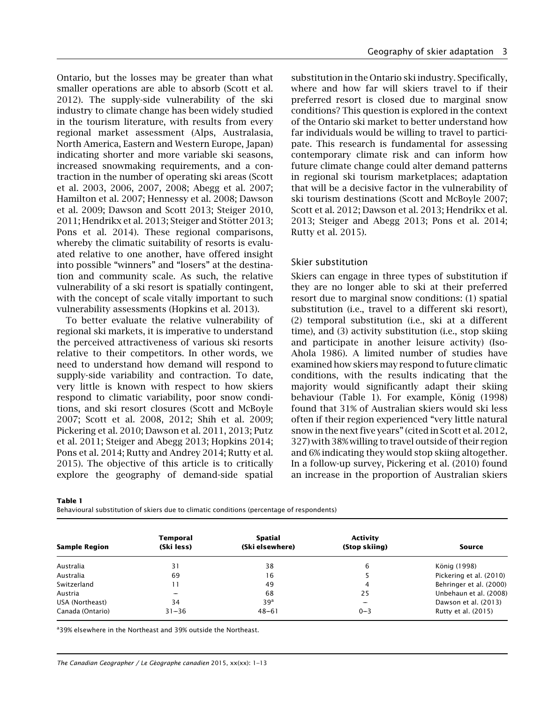Ontario, but the losses may be greater than what smaller operations are able to absorb (Scott et al. 2012). The supply-side vulnerability of the ski industry to climate change has been widely studied in the tourism literature, with results from every regional market assessment (Alps, Australasia, North America, Eastern and Western Europe, Japan) indicating shorter and more variable ski seasons, increased snowmaking requirements, and a contraction in the number of operating ski areas (Scott et al. 2003, 2006, 2007, 2008; Abegg et al. 2007; Hamilton et al. 2007; Hennessy et al. 2008; Dawson et al. 2009; Dawson and Scott 2013; Steiger 2010, 2011; Hendrikx et al. 2013; Steiger and Stötter 2013; Pons et al. 2014). These regional comparisons, whereby the climatic suitability of resorts is evaluated relative to one another, have offered insight into possible "winners" and "losers" at the destination and community scale. As such, the relative vulnerability of a ski resort is spatially contingent, with the concept of scale vitally important to such vulnerability assessments (Hopkins et al. 2013).

To better evaluate the relative vulnerability of regional ski markets, it is imperative to understand the perceived attractiveness of various ski resorts relative to their competitors. In other words, we need to understand how demand will respond to supply-side variability and contraction. To date, very little is known with respect to how skiers respond to climatic variability, poor snow conditions, and ski resort closures (Scott and McBoyle 2007; Scott et al. 2008, 2012; Shih et al. 2009; Pickering et al. 2010; Dawson et al. 2011, 2013; Putz et al. 2011; Steiger and Abegg 2013; Hopkins 2014; Pons et al. 2014; Rutty and Andrey 2014; Rutty et al. 2015). The objective of this article is to critically explore the geography of demand-side spatial

substitution in the Ontario ski industry. Specifically, where and how far will skiers travel to if their preferred resort is closed due to marginal snow conditions? This question is explored in the context of the Ontario ski market to better understand how far individuals would be willing to travel to participate. This research is fundamental for assessing contemporary climate risk and can inform how future climate change could alter demand patterns in regional ski tourism marketplaces; adaptation that will be a decisive factor in the vulnerability of ski tourism destinations (Scott and McBoyle 2007; Scott et al. 2012; Dawson et al. 2013; Hendrikx et al. 2013; Steiger and Abegg 2013; Pons et al. 2014; Rutty et al. 2015).

## Skier substitution

Skiers can engage in three types of substitution if they are no longer able to ski at their preferred resort due to marginal snow conditions: (1) spatial substitution (i.e., travel to a different ski resort), (2) temporal substitution (i.e., ski at a different time), and (3) activity substitution (i.e., stop skiing and participate in another leisure activity) (Iso-Ahola 1986). A limited number of studies have examined how skiers may respond to future climatic conditions, with the results indicating that the majority would significantly adapt their skiing behaviour (Table 1). For example, König (1998) found that 31% of Australian skiers would ski less often if their region experienced "very little natural snow in the next five years" (cited in Scott et al. 2012, 327) with 38% willing to travel outside of their region and 6% indicating they would stop skiing altogether. In a follow-up survey, Pickering et al. (2010) found an increase in the proportion of Australian skiers

Table 1

Behavioural substitution of skiers due to climatic conditions (percentage of respondents)

| <b>Sample Region</b> | Temporal<br>(Ski less) | Spatial<br>(Ski elsewhere) | Activity<br>(Stop skiing) | Source                  |
|----------------------|------------------------|----------------------------|---------------------------|-------------------------|
| Australia            | 31                     | 38                         | 6                         | König (1998)            |
| Australia            | 69                     | 16                         |                           | Pickering et al. (2010) |
| Switzerland          |                        | 49                         | 4                         | Behringer et al. (2000) |
| Austria              |                        | 68                         | 25                        | Unbehaun et al. (2008)  |
| USA (Northeast)      | 34                     | 39 <sup>a</sup>            |                           | Dawson et al. (2013)    |
| Canada (Ontario)     | $31 - 36$              | $48 - 61$                  | $0 - 3$                   | Rutty et al. (2015)     |

<sup>a</sup>39% elsewhere in the Northeast and 39% outside the Northeast.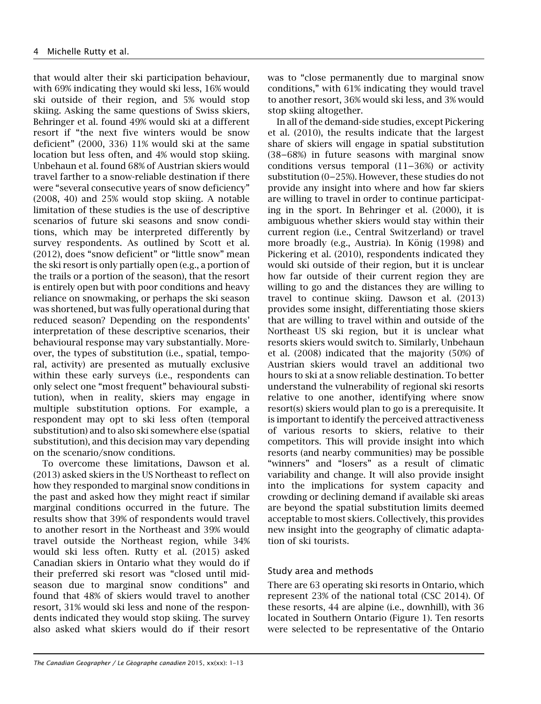that would alter their ski participation behaviour, with 69% indicating they would ski less, 16% would ski outside of their region, and 5% would stop skiing. Asking the same questions of Swiss skiers, Behringer et al. found 49% would ski at a different resort if "the next five winters would be snow deficient" (2000, 336) 11% would ski at the same location but less often, and 4% would stop skiing. Unbehaun et al. found 68% of Austrian skiers would travel farther to a snow-reliable destination if there were "several consecutive years of snow deficiency" (2008, 40) and 25% would stop skiing. A notable limitation of these studies is the use of descriptive scenarios of future ski seasons and snow conditions, which may be interpreted differently by survey respondents. As outlined by Scott et al. (2012), does "snow deficient" or "little snow" mean the ski resort is only partially open (e.g., a portion of the trails or a portion of the season), that the resort is entirely open but with poor conditions and heavy reliance on snowmaking, or perhaps the ski season was shortened, but was fully operational during that reduced season? Depending on the respondents' interpretation of these descriptive scenarios, their behavioural response may vary substantially. Moreover, the types of substitution (i.e., spatial, temporal, activity) are presented as mutually exclusive within these early surveys (i.e., respondents can only select one "most frequent" behavioural substitution), when in reality, skiers may engage in multiple substitution options. For example, a respondent may opt to ski less often (temporal substitution) and to also ski somewhere else (spatial substitution), and this decision may vary depending on the scenario/snow conditions.

To overcome these limitations, Dawson et al. (2013) asked skiers in the US Northeast to reflect on how they responded to marginal snow conditions in the past and asked how they might react if similar marginal conditions occurred in the future. The results show that 39% of respondents would travel to another resort in the Northeast and 39% would travel outside the Northeast region, while 34% would ski less often. Rutty et al. (2015) asked Canadian skiers in Ontario what they would do if their preferred ski resort was "closed until midseason due to marginal snow conditions" and found that 48% of skiers would travel to another resort, 31% would ski less and none of the respondents indicated they would stop skiing. The survey also asked what skiers would do if their resort was to "close permanently due to marginal snow conditions," with 61% indicating they would travel to another resort, 36% would ski less, and 3% would stop skiing altogether.

In all of the demand-side studies, except Pickering et al. (2010), the results indicate that the largest share of skiers will engage in spatial substitution (38––68%) in future seasons with marginal snow conditions versus temporal  $(11–36%)$  or activity substitution (0–25%). However, these studies do not provide any insight into where and how far skiers are willing to travel in order to continue participating in the sport. In Behringer et al. (2000), it is ambiguous whether skiers would stay within their current region (i.e., Central Switzerland) or travel more broadly (e.g., Austria). In König (1998) and Pickering et al. (2010), respondents indicated they would ski outside of their region, but it is unclear how far outside of their current region they are willing to go and the distances they are willing to travel to continue skiing. Dawson et al. (2013) provides some insight, differentiating those skiers that are willing to travel within and outside of the Northeast US ski region, but it is unclear what resorts skiers would switch to. Similarly, Unbehaun et al. (2008) indicated that the majority (50%) of Austrian skiers would travel an additional two hours to ski at a snow reliable destination. To better understand the vulnerability of regional ski resorts relative to one another, identifying where snow resort(s) skiers would plan to go is a prerequisite. It is important to identify the perceived attractiveness of various resorts to skiers, relative to their competitors. This will provide insight into which resorts (and nearby communities) may be possible "winners" and "losers" as a result of climatic variability and change. It will also provide insight into the implications for system capacity and crowding or declining demand if available ski areas are beyond the spatial substitution limits deemed acceptable to most skiers. Collectively, this provides new insight into the geography of climatic adaptation of ski tourists.

# Study area and methods

There are 63 operating ski resorts in Ontario, which represent 23% of the national total (CSC 2014). Of these resorts, 44 are alpine (i.e., downhill), with 36 located in Southern Ontario (Figure 1). Ten resorts were selected to be representative of the Ontario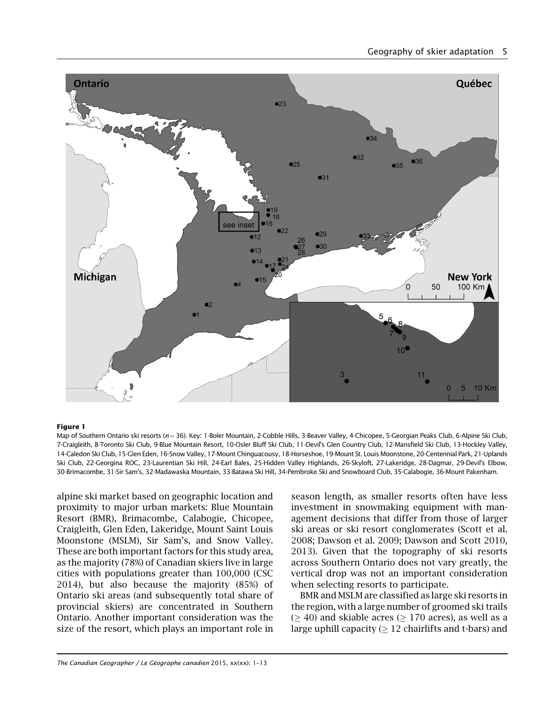

#### Figure 1

Map of Southern Ontario ski resorts (n=36). Key: 1-Boler Mountain, 2-Cobble Hills, 3-Beaver Valley, 4-Chicopee, 5-Georgian Peaks Club, 6-Alpine Ski Club, 7-Craigleith, 8-Toronto Ski Club, 9-Blue Mountain Resort, 10-Osler Bluff Ski Club, 11-Devil's Glen Country Club, 12-Mansfield Ski Club, 13-Hockley Valley, 14-Caledon Ski Club, 15-Glen Eden, 16-Snow Valley, 17-Mount Chinguacousy, 18-Horseshoe, 19-Mount St. Louis Moonstone, 20-Centennial Park, 21-Uplands Ski Club, 22-Georgina ROC, 23-Laurentian Ski Hill, 24-Earl Bales, 25-Hidden Valley Highlands, 26-Skyloft, 27-Lakeridge, 28-Dagmar, 29-Devil's Elbow, 30-Brimacombe, 31-Sir Sam's, 32-Madawaska Mountain, 33-Batawa Ski Hill, 34-Pembroke Ski and Snowboard Club, 35-Calabogie, 36-Mount Pakenham.

alpine ski market based on geographic location and proximity to major urban markets: Blue Mountain Resort (BMR), Brimacombe, Calabogie, Chicopee, Craigleith, Glen Eden, Lakeridge, Mount Saint Louis Moonstone (MSLM), Sir Sam's, and Snow Valley. These are both important factors for this study area, as the majority (78%) of Canadian skiers live in large cities with populations greater than 100,000 (CSC 2014), but also because the majority (85%) of Ontario ski areas (and subsequently total share of provincial skiers) are concentrated in Southern Ontario. Another important consideration was the size of the resort, which plays an important role in

season length, as smaller resorts often have less investment in snowmaking equipment with management decisions that differ from those of larger ski areas or ski resort conglomerates (Scott et al. 2008; Dawson et al. 2009; Dawson and Scott 2010, 2013). Given that the topography of ski resorts across Southern Ontario does not vary greatly, the vertical drop was not an important consideration when selecting resorts to participate.

BMR and MSLM are classified as large ski resorts in the region, with a large number of groomed ski trails  $( \geq 40)$  and skiable acres ( $\geq 170$  acres), as well as a large uphill capacity  $( > 12$  chairlifts and t-bars) and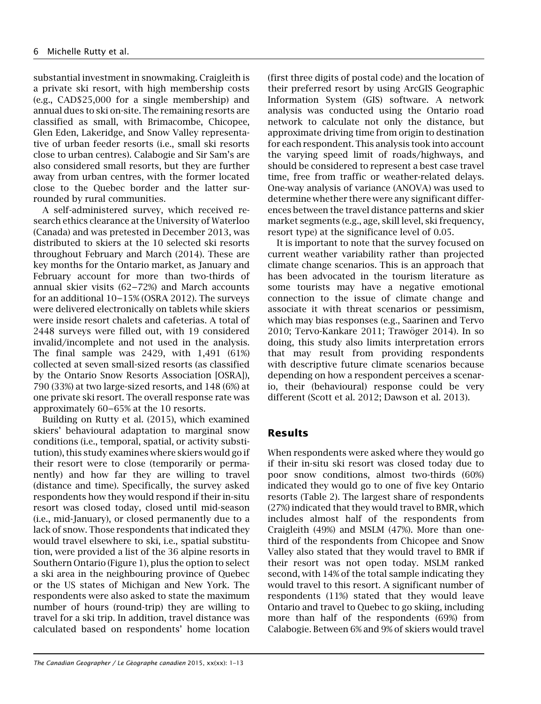substantial investment in snowmaking. Craigleith is a private ski resort, with high membership costs (e.g., CAD\$25,000 for a single membership) and annual dues to ski on-site. The remaining resorts are classified as small, with Brimacombe, Chicopee, Glen Eden, Lakeridge, and Snow Valley representative of urban feeder resorts (i.e., small ski resorts close to urban centres). Calabogie and Sir Sam's are also considered small resorts, but they are further away from urban centres, with the former located close to the Quebec border and the latter surrounded by rural communities.

A self-administered survey, which received research ethics clearance at the University of Waterloo (Canada) and was pretested in December 2013, was distributed to skiers at the 10 selected ski resorts throughout February and March (2014). These are key months for the Ontario market, as January and February account for more than two-thirds of annual skier visits (62–72%) and March accounts for an additional  $10-15%$  (OSRA 2012). The surveys were delivered electronically on tablets while skiers were inside resort chalets and cafeterias. A total of 2448 surveys were filled out, with 19 considered invalid/incomplete and not used in the analysis. The final sample was 2429, with 1,491 (61%) collected at seven small-sized resorts (as classified by the Ontario Snow Resorts Association [OSRA]), 790 (33%) at two large-sized resorts, and 148 (6%) at one private ski resort. The overall response rate was approximately  $60-65%$  at the 10 resorts.

Building on Rutty et al. (2015), which examined skiers' behavioural adaptation to marginal snow conditions (i.e., temporal, spatial, or activity substitution), this study examines where skiers would go if their resort were to close (temporarily or permanently) and how far they are willing to travel (distance and time). Specifically, the survey asked respondents how they would respond if their in-situ resort was closed today, closed until mid-season (i.e., mid-January), or closed permanently due to a lack of snow. Those respondents that indicated they would travel elsewhere to ski, i.e., spatial substitution, were provided a list of the 36 alpine resorts in Southern Ontario (Figure 1), plus the option to select a ski area in the neighbouring province of Quebec or the US states of Michigan and New York. The respondents were also asked to state the maximum number of hours (round-trip) they are willing to travel for a ski trip. In addition, travel distance was calculated based on respondents' home location

(first three digits of postal code) and the location of their preferred resort by using ArcGIS Geographic Information System (GIS) software. A network analysis was conducted using the Ontario road network to calculate not only the distance, but approximate driving time from origin to destination for each respondent. This analysis took into account the varying speed limit of roads/highways, and should be considered to represent a best case travel time, free from traffic or weather-related delays. One-way analysis of variance (ANOVA) was used to determine whether there were any significant differences between the travel distance patterns and skier market segments (e.g., age, skill level, ski frequency, resort type) at the significance level of 0.05.

It is important to note that the survey focused on current weather variability rather than projected climate change scenarios. This is an approach that has been advocated in the tourism literature as some tourists may have a negative emotional connection to the issue of climate change and associate it with threat scenarios or pessimism, which may bias responses (e.g., Saarinen and Tervo 2010; Tervo-Kankare 2011; Trawöger 2014). In so doing, this study also limits interpretation errors that may result from providing respondents with descriptive future climate scenarios because depending on how a respondent perceives a scenario, their (behavioural) response could be very different (Scott et al. 2012; Dawson et al. 2013).

# Results

When respondents were asked where they would go if their in-situ ski resort was closed today due to poor snow conditions, almost two-thirds (60%) indicated they would go to one of five key Ontario resorts (Table 2). The largest share of respondents (27%) indicated that they would travel to BMR, which includes almost half of the respondents from Craigleith (49%) and MSLM (47%). More than onethird of the respondents from Chicopee and Snow Valley also stated that they would travel to BMR if their resort was not open today. MSLM ranked second, with 14% of the total sample indicating they would travel to this resort. A significant number of respondents (11%) stated that they would leave Ontario and travel to Quebec to go skiing, including more than half of the respondents (69%) from Calabogie. Between 6% and 9% of skiers would travel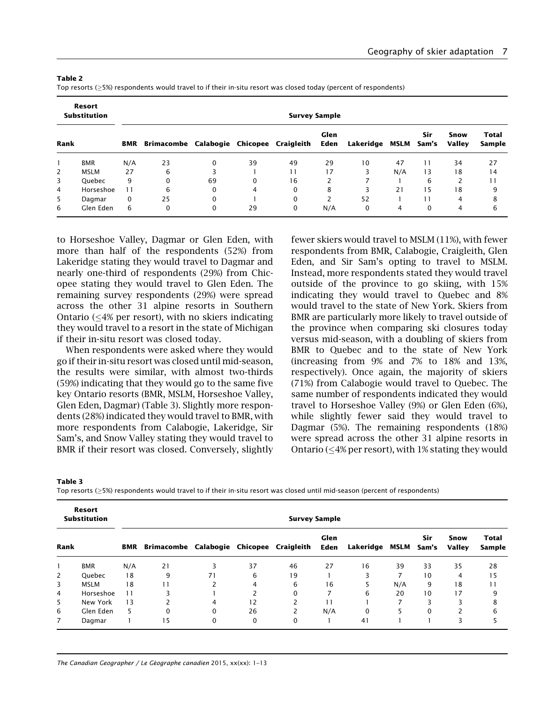| Resort<br><b>Substitution</b><br><b>Survey Sample</b> |               |                 |                                          |    |          |          |              |                |     |              |                |                        |
|-------------------------------------------------------|---------------|-----------------|------------------------------------------|----|----------|----------|--------------|----------------|-----|--------------|----------------|------------------------|
| Rank                                                  |               | <b>BMR</b>      | Brimacombe Calabogie Chicopee Craigleith |    |          |          | Glen<br>Eden | Lakeridge MSLM |     | Sir<br>Sam's | Snow<br>Valley | <b>Total</b><br>Sample |
|                                                       | <b>BMR</b>    | N/A             | 23                                       | 0  | 39       | 49       | 29           | 10             | 47  | 11           | 34             | 27                     |
| 2                                                     | <b>MSLM</b>   | 27              | 6                                        |    |          | 11       | 17           |                | N/A | 13           | 18             | 14                     |
| 3                                                     | <b>Ouebec</b> | 9               | $\mathbf 0$                              | 69 | $\Omega$ | 16       |              |                |     | 6            | $\overline{c}$ | 11                     |
| 4                                                     | Horseshoe     | $\overline{11}$ | 6                                        | 0  | 4        | $\Omega$ | 8            |                | 21  | 15           | 18             | 9                      |
| 5                                                     | Dagmar        | 0               | 25                                       | 0  |          | $\Omega$ |              | 52             |     | 11           | 4              | 8                      |
| 6                                                     | Glen Eden     | 6               | 0                                        | 0  | 29       | 0        | N/A          | 0              | 4   | $\Omega$     | $\overline{4}$ | 6                      |

Table 2

Top resorts (5%) respondents would travel to if their in-situ resort was closed today (percent of respondents)

to Horseshoe Valley, Dagmar or Glen Eden, with more than half of the respondents (52%) from Lakeridge stating they would travel to Dagmar and nearly one-third of respondents (29%) from Chicopee stating they would travel to Glen Eden. The remaining survey respondents (29%) were spread across the other 31 alpine resorts in Southern Ontario  $\left($  <4% per resort), with no skiers indicating they would travel to a resort in the state of Michigan if their in-situ resort was closed today.

When respondents were asked where they would go if their in-situ resort was closed until mid-season, the results were similar, with almost two-thirds (59%) indicating that they would go to the same five key Ontario resorts (BMR, MSLM, Horseshoe Valley, Glen Eden, Dagmar) (Table 3). Slightly more respondents (28%) indicated they would travel to BMR, with more respondents from Calabogie, Lakeridge, Sir Sam's, and Snow Valley stating they would travel to BMR if their resort was closed. Conversely, slightly fewer skiers would travel to MSLM (11%), with fewer respondents from BMR, Calabogie, Craigleith, Glen Eden, and Sir Sam's opting to travel to MSLM. Instead, more respondents stated they would travel outside of the province to go skiing, with 15% indicating they would travel to Quebec and 8% would travel to the state of New York. Skiers from BMR are particularly more likely to travel outside of the province when comparing ski closures today versus mid-season, with a doubling of skiers from BMR to Quebec and to the state of New York (increasing from 9% and 7% to 18% and 13%, respectively). Once again, the majority of skiers (71%) from Calabogie would travel to Quebec. The same number of respondents indicated they would travel to Horseshoe Valley (9%) or Glen Eden (6%), while slightly fewer said they would travel to Dagmar (5%). The remaining respondents (18%) were spread across the other 31 alpine resorts in Ontario ( $\leq 4\%$  per resort), with 1% stating they would

Table 3

Top resorts (5%) respondents would travel to if their in-situ resort was closed until mid-season (percent of respondents)

|                | Resort<br><b>Substitution</b> | <b>Survey Sample</b> |                                          |          |          |          |              |                |     |              |                       |                        |
|----------------|-------------------------------|----------------------|------------------------------------------|----------|----------|----------|--------------|----------------|-----|--------------|-----------------------|------------------------|
| Rank           |                               | BMR                  | Brimacombe Calabogie Chicopee Craigleith |          |          |          | Glen<br>Eden | Lakeridge MSLM |     | Sir<br>Sam's | Snow<br><b>Valley</b> | <b>Total</b><br>Sample |
|                | <b>BMR</b>                    | N/A                  | 21                                       | 3        | 37       | 46       | 27           | 16             | 39  | 33           | 35                    | 28                     |
| 2              | Quebec                        | 18                   | 9                                        | 71       | 6        | 19       |              | ς              |     | 10           | 4                     | 15                     |
| 3              | <b>MSLM</b>                   | 18                   | 11                                       |          | 4        | 6        | 16           |                | N/A | 9            | 18                    | $\overline{11}$        |
| $\overline{4}$ | Horseshoe                     | 11                   | З                                        |          |          | $\Omega$ |              | 6              | 20  | 10           | 17                    | 9                      |
| 5              | New York                      | 13                   |                                          | 4        | 12       |          | 11           |                |     | ς            |                       | 8                      |
| 6              | Glen Eden                     | 5                    | $\Omega$                                 | $\Omega$ | 26       | 2        | N/A          | $\Omega$       | 5   | $\Omega$     |                       | 6                      |
| $\overline{7}$ | Dagmar                        |                      | 15                                       | 0        | $\Omega$ | $\Omega$ |              | 41             |     |              | 3                     |                        |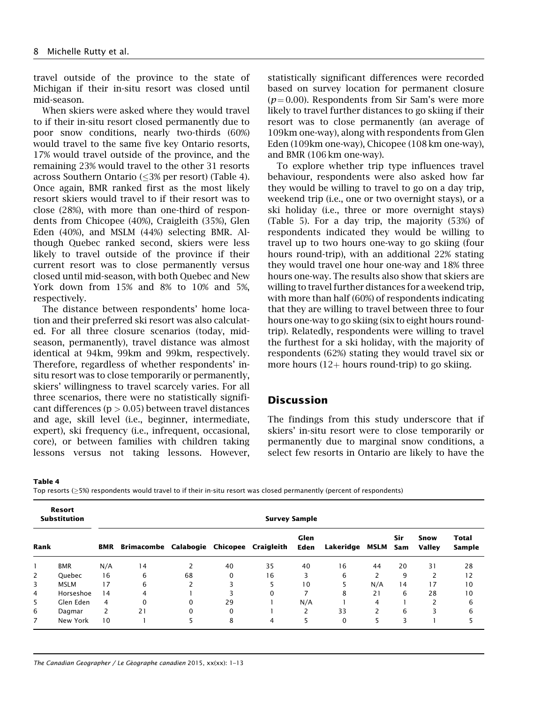travel outside of the province to the state of Michigan if their in-situ resort was closed until mid-season.

When skiers were asked where they would travel to if their in-situ resort closed permanently due to poor snow conditions, nearly two-thirds (60%) would travel to the same five key Ontario resorts, 17% would travel outside of the province, and the remaining 23% would travel to the other 31 resorts across Southern Ontario ( $\leq$ 3% per resort) (Table 4). Once again, BMR ranked first as the most likely resort skiers would travel to if their resort was to close (28%), with more than one-third of respondents from Chicopee (40%), Craigleith (35%), Glen Eden (40%), and MSLM (44%) selecting BMR. Although Quebec ranked second, skiers were less likely to travel outside of the province if their current resort was to close permanently versus closed until mid-season, with both Quebec and New York down from 15% and 8% to 10% and 5%, respectively.

The distance between respondents' home location and their preferred ski resort was also calculated. For all three closure scenarios (today, midseason, permanently), travel distance was almost identical at 94km, 99km and 99km, respectively. Therefore, regardless of whether respondents' insitu resort was to close temporarily or permanently, skiers' willingness to travel scarcely varies. For all three scenarios, there were no statistically significant differences ( $p > 0.05$ ) between travel distances and age, skill level (i.e., beginner, intermediate, expert), ski frequency (i.e., infrequent, occasional, core), or between families with children taking lessons versus not taking lessons. However,

statistically significant differences were recorded based on survey location for permanent closure  $(p = 0.00)$ . Respondents from Sir Sam's were more likely to travel further distances to go skiing if their resort was to close permanently (an average of 109km one-way), along with respondents from Glen Eden (109km one-way), Chicopee (108 km one-way), and BMR (106 km one-way).

To explore whether trip type influences travel behaviour, respondents were also asked how far they would be willing to travel to go on a day trip, weekend trip (i.e., one or two overnight stays), or a ski holiday (i.e., three or more overnight stays) (Table 5). For a day trip, the majority (53%) of respondents indicated they would be willing to travel up to two hours one-way to go skiing (four hours round-trip), with an additional 22% stating they would travel one hour one-way and 18% three hours one-way. The results also show that skiers are willing to travel further distances for a weekend trip, with more than half (60%) of respondents indicating that they are willing to travel between three to four hours one-way to go skiing (six to eight hours roundtrip). Relatedly, respondents were willing to travel the furthest for a ski holiday, with the majority of respondents (62%) stating they would travel six or more hours  $(12 +$  hours round-trip) to go skiing.

# Discussion

The findings from this study underscore that if skiers' in-situ resort were to close temporarily or permanently due to marginal snow conditions, a select few resorts in Ontario are likely to have the

Table 4

Top resorts  $(≥5%)$  respondents would travel to if their in-situ resort was closed permanently (percent of respondents)

|                | Resort<br><b>Substitution</b> | <b>Survey Sample</b> |                                          |          |          |          |              |                |     |            |                       |                        |
|----------------|-------------------------------|----------------------|------------------------------------------|----------|----------|----------|--------------|----------------|-----|------------|-----------------------|------------------------|
| Rank           |                               | BMR                  | Brimacombe Calabogie Chicopee Craigleith |          |          |          | Glen<br>Eden | Lakeridge MSLM |     | Sir<br>Sam | Snow<br><b>Valley</b> | <b>Total</b><br>Sample |
|                | <b>BMR</b>                    | N/A                  | 14                                       | 2        | 40       | 35       | 40           | 16             | 44  | 20         | 31                    | 28                     |
| 2              | Quebec                        | 16                   | 6                                        | 68       | $\Omega$ | 16       | 3            | 6              | 2   | 9          | 2                     | 12                     |
| 3              | <b>MSLM</b>                   | 17                   | 6                                        | 2        | 3        | 5        | 10           | 5              | N/A | 14         | 17                    | 10                     |
| $\overline{4}$ | Horseshoe                     | 14                   | 4                                        |          |          | $\Omega$ |              | 8              | 21  | 6          | 28                    | 10                     |
| 5              | Glen Eden                     | 4                    | $\mathbf 0$                              | $\Omega$ | 29       |          | N/A          |                | 4   |            | 2                     | 6                      |
| 6              | Dagmar                        | 2                    | 21                                       | $\Omega$ | $\Omega$ |          |              | 33             | 2   | 6          | 3                     | 6                      |
| 7              | New York                      | 10                   |                                          | 5        | 8        | 4        | 5            | $\Omega$       |     | 3          |                       |                        |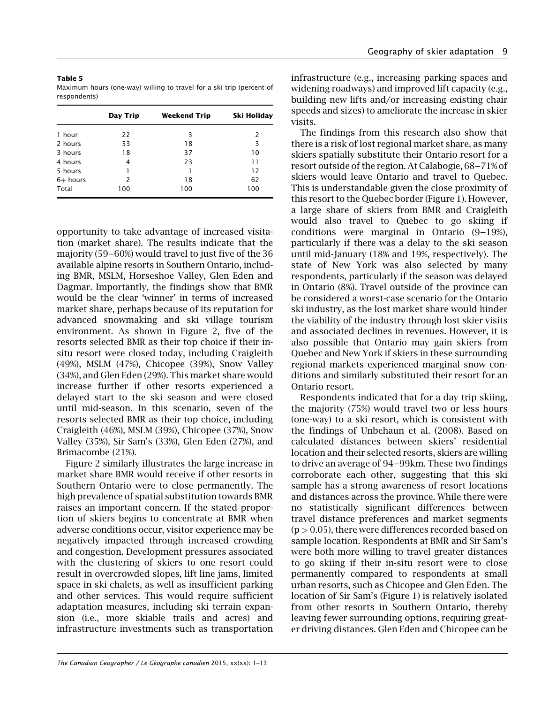| Table 5                                                              |  |
|----------------------------------------------------------------------|--|
| Maximum hours (one-way) willing to travel for a ski trip (percent of |  |
| respondents)                                                         |  |

|            | Day Trip | Weekend Trip | Ski Holiday |
|------------|----------|--------------|-------------|
| 1 hour     | 22       | 3            | 2           |
| 2 hours    | 53       | 18           | 3           |
| 3 hours    | 18       | 37           | 10          |
| 4 hours    | 4        | 23           | 11          |
| 5 hours    |          |              | 12          |
| $6+$ hours | 2        | 18           | 62          |
| Total      | 100      | 100          | 100         |

opportunity to take advantage of increased visitation (market share). The results indicate that the majority (59–60%) would travel to just five of the 36 available alpine resorts in Southern Ontario, including BMR, MSLM, Horseshoe Valley, Glen Eden and Dagmar. Importantly, the findings show that BMR would be the clear 'winner' in terms of increased market share, perhaps because of its reputation for advanced snowmaking and ski village tourism environment. As shown in Figure 2, five of the resorts selected BMR as their top choice if their insitu resort were closed today, including Craigleith (49%), MSLM (47%), Chicopee (39%), Snow Valley (34%), and Glen Eden (29%). This market share would increase further if other resorts experienced a delayed start to the ski season and were closed until mid-season. In this scenario, seven of the resorts selected BMR as their top choice, including Craigleith (46%), MSLM (39%), Chicopee (37%), Snow Valley (35%), Sir Sam's (33%), Glen Eden (27%), and Brimacombe (21%).

Figure 2 similarly illustrates the large increase in market share BMR would receive if other resorts in Southern Ontario were to close permanently. The high prevalence of spatial substitution towards BMR raises an important concern. If the stated proportion of skiers begins to concentrate at BMR when adverse conditions occur, visitor experience may be negatively impacted through increased crowding and congestion. Development pressures associated with the clustering of skiers to one resort could result in overcrowded slopes, lift line jams, limited space in ski chalets, as well as insufficient parking and other services. This would require sufficient adaptation measures, including ski terrain expansion (i.e., more skiable trails and acres) and infrastructure investments such as transportation

infrastructure (e.g., increasing parking spaces and widening roadways) and improved lift capacity (e.g., building new lifts and/or increasing existing chair speeds and sizes) to ameliorate the increase in skier visits.

The findings from this research also show that there is a risk of lost regional market share, as many skiers spatially substitute their Ontario resort for a resort outside of the region. At Calabogie, 68––71% of skiers would leave Ontario and travel to Quebec. This is understandable given the close proximity of this resort to the Quebec border (Figure 1). However, a large share of skiers from BMR and Craigleith would also travel to Quebec to go skiing if conditions were marginal in Ontario  $(9-19%)$ , particularly if there was a delay to the ski season until mid-January (18% and 19%, respectively). The state of New York was also selected by many respondents, particularly if the season was delayed in Ontario (8%). Travel outside of the province can be considered a worst-case scenario for the Ontario ski industry, as the lost market share would hinder the viability of the industry through lost skier visits and associated declines in revenues. However, it is also possible that Ontario may gain skiers from Quebec and New York if skiers in these surrounding regional markets experienced marginal snow conditions and similarly substituted their resort for an Ontario resort.

Respondents indicated that for a day trip skiing, the majority (75%) would travel two or less hours (one-way) to a ski resort, which is consistent with the findings of Unbehaun et al. (2008). Based on calculated distances between skiers' residential location and their selected resorts, skiers are willing to drive an average of 94–99km. These two findings corroborate each other, suggesting that this ski sample has a strong awareness of resort locations and distances across the province. While there were no statistically significant differences between travel distance preferences and market segments  $(p > 0.05)$ , there were differences recorded based on sample location. Respondents at BMR and Sir Sam's were both more willing to travel greater distances to go skiing if their in-situ resort were to close permanently compared to respondents at small urban resorts, such as Chicopee and Glen Eden. The location of Sir Sam's (Figure 1) is relatively isolated from other resorts in Southern Ontario, thereby leaving fewer surrounding options, requiring greater driving distances. Glen Eden and Chicopee can be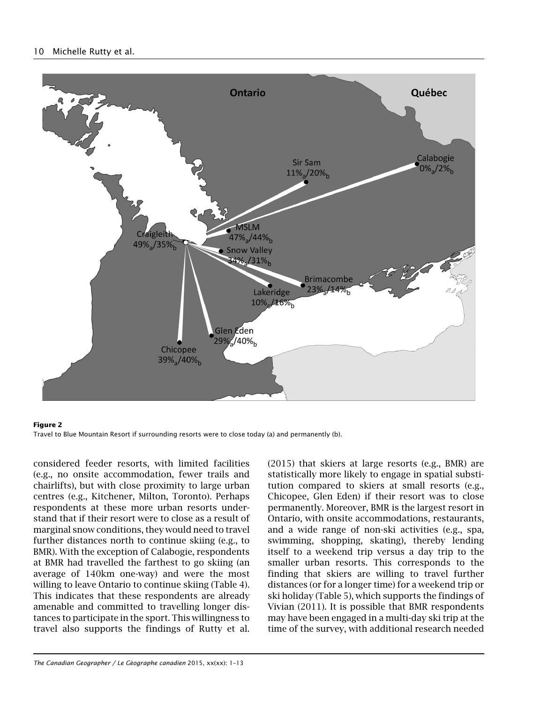## 10 Michelle Rutty et al.



#### Figure 2 Travel to Blue Mountain Resort if surrounding resorts were to close today (a) and permanently (b).

considered feeder resorts, with limited facilities (e.g., no onsite accommodation, fewer trails and chairlifts), but with close proximity to large urban centres (e.g., Kitchener, Milton, Toronto). Perhaps respondents at these more urban resorts understand that if their resort were to close as a result of marginal snow conditions, they would need to travel further distances north to continue skiing (e.g., to BMR). With the exception of Calabogie, respondents at BMR had travelled the farthest to go skiing (an average of 140km one-way) and were the most willing to leave Ontario to continue skiing (Table 4). This indicates that these respondents are already amenable and committed to travelling longer distances to participate in the sport. This willingness to travel also supports the findings of Rutty et al.

(2015) that skiers at large resorts (e.g., BMR) are statistically more likely to engage in spatial substitution compared to skiers at small resorts (e.g., Chicopee, Glen Eden) if their resort was to close permanently. Moreover, BMR is the largest resort in Ontario, with onsite accommodations, restaurants, and a wide range of non-ski activities (e.g., spa, swimming, shopping, skating), thereby lending itself to a weekend trip versus a day trip to the smaller urban resorts. This corresponds to the finding that skiers are willing to travel further distances (or for a longer time) for a weekend trip or ski holiday (Table 5), which supports the findings of Vivian (2011). It is possible that BMR respondents may have been engaged in a multi-day ski trip at the time of the survey, with additional research needed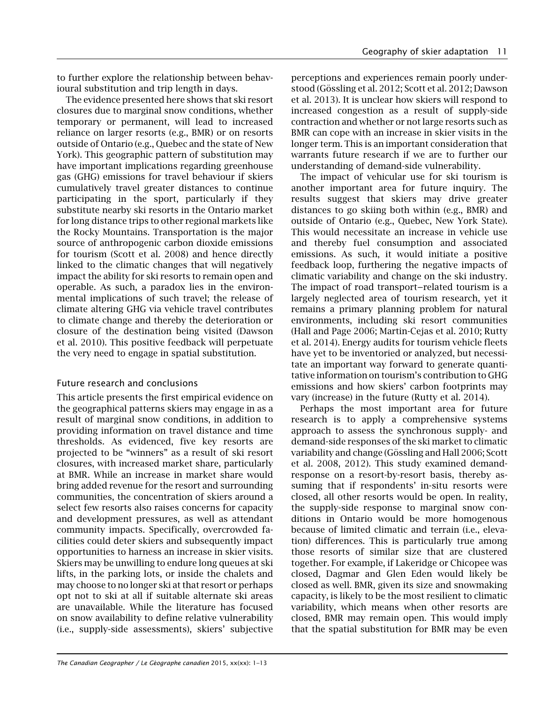to further explore the relationship between behavioural substitution and trip length in days.

The evidence presented here shows that ski resort closures due to marginal snow conditions, whether temporary or permanent, will lead to increased reliance on larger resorts (e.g., BMR) or on resorts outside of Ontario (e.g., Quebec and the state of New York). This geographic pattern of substitution may have important implications regarding greenhouse gas (GHG) emissions for travel behaviour if skiers cumulatively travel greater distances to continue participating in the sport, particularly if they substitute nearby ski resorts in the Ontario market for long distance trips to other regional markets like the Rocky Mountains. Transportation is the major source of anthropogenic carbon dioxide emissions for tourism (Scott et al. 2008) and hence directly linked to the climatic changes that will negatively impact the ability for ski resorts to remain open and operable. As such, a paradox lies in the environmental implications of such travel; the release of climate altering GHG via vehicle travel contributes to climate change and thereby the deterioration or closure of the destination being visited (Dawson et al. 2010). This positive feedback will perpetuate the very need to engage in spatial substitution.

# Future research and conclusions

This article presents the first empirical evidence on the geographical patterns skiers may engage in as a result of marginal snow conditions, in addition to providing information on travel distance and time thresholds. As evidenced, five key resorts are projected to be "winners" as a result of ski resort closures, with increased market share, particularly at BMR. While an increase in market share would bring added revenue for the resort and surrounding communities, the concentration of skiers around a select few resorts also raises concerns for capacity and development pressures, as well as attendant community impacts. Specifically, overcrowded facilities could deter skiers and subsequently impact opportunities to harness an increase in skier visits. Skiers may be unwilling to endure long queues at ski lifts, in the parking lots, or inside the chalets and may choose to no longer ski at that resort or perhaps opt not to ski at all if suitable alternate ski areas are unavailable. While the literature has focused on snow availability to define relative vulnerability (i.e., supply-side assessments), skiers' subjective

perceptions and experiences remain poorly understood (Gössling et al. 2012; Scott et al. 2012; Dawson et al. 2013). It is unclear how skiers will respond to increased congestion as a result of supply-side contraction and whether or not large resorts such as BMR can cope with an increase in skier visits in the longer term. This is an important consideration that warrants future research if we are to further our understanding of demand-side vulnerability.

The impact of vehicular use for ski tourism is another important area for future inquiry. The results suggest that skiers may drive greater distances to go skiing both within (e.g., BMR) and outside of Ontario (e.g., Quebec, New York State). This would necessitate an increase in vehicle use and thereby fuel consumption and associated emissions. As such, it would initiate a positive feedback loop, furthering the negative impacts of climatic variability and change on the ski industry. The impact of road transport–related tourism is a largely neglected area of tourism research, yet it remains a primary planning problem for natural environments, including ski resort communities (Hall and Page 2006; Martin-Cejas et al. 2010; Rutty et al. 2014). Energy audits for tourism vehicle fleets have yet to be inventoried or analyzed, but necessitate an important way forward to generate quantitative information on tourism's contribution to GHG emissions and how skiers' carbon footprints may vary (increase) in the future (Rutty et al. 2014).

Perhaps the most important area for future research is to apply a comprehensive systems approach to assess the synchronous supply- and demand-side responses of the ski market to climatic variability and change (Gössling and Hall 2006; Scott et al. 2008, 2012). This study examined demandresponse on a resort-by-resort basis, thereby assuming that if respondents' in-situ resorts were closed, all other resorts would be open. In reality, the supply-side response to marginal snow conditions in Ontario would be more homogenous because of limited climatic and terrain (i.e., elevation) differences. This is particularly true among those resorts of similar size that are clustered together. For example, if Lakeridge or Chicopee was closed, Dagmar and Glen Eden would likely be closed as well. BMR, given its size and snowmaking capacity, is likely to be the most resilient to climatic variability, which means when other resorts are closed, BMR may remain open. This would imply that the spatial substitution for BMR may be even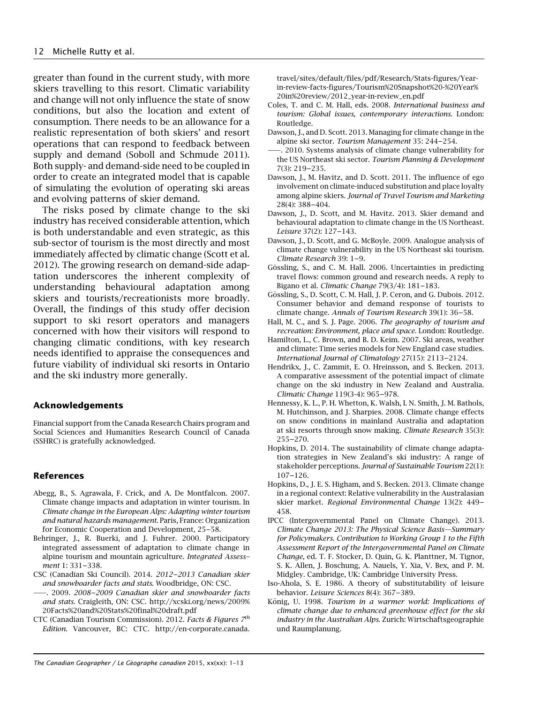greater than found in the current study, with more skiers travelling to this resort. Climatic variability and change will not only influence the state of snow conditions, but also the location and extent of consumption. There needs to be an allowance for a realistic representation of both skiers' and resort operations that can respond to feedback between supply and demand (Soboll and Schmude 2011). Both supply- and demand-side need to be coupled in order to create an integrated model that is capable of simulating the evolution of operating ski areas and evolving patterns of skier demand.

The risks posed by climate change to the ski industry has received considerable attention, which is both understandable and even strategic, as this sub-sector of tourism is the most directly and most immediately affected by climatic change (Scott et al. 2012). The growing research on demand-side adaptation underscores the inherent complexity of understanding behavioural adaptation among skiers and tourists/recreationists more broadly. Overall, the findings of this study offer decision support to ski resort operators and managers concerned with how their visitors will respond to changing climatic conditions, with key research needs identified to appraise the consequences and future viability of individual ski resorts in Ontario and the ski industry more generally.

#### Acknowledgements

Financial support from the Canada Research Chairs program and Social Sciences and Humanities Research Council of Canada (SSHRC) is gratefully acknowledged.

### References

- Abegg, B., S. Agrawala, F. Crick, and A. De Montfalcon. 2007. Climate change impacts and adaptation in winter tourism. In Climate change in the European Alps: Adapting winter tourism and natural hazards management. Paris, France: Organization for Economic Cooperation and Development, 25-58.
- Behringer, J., R. Buerki, and J. Fuhrer. 2000. Participatory integrated assessment of adaptation to climate change in alpine tourism and mountain agriculture. Integrated Assessment 1: 331-338.
- CSC (Canadian Ski Council). 2014. 2012-2013 Canadian skier and snowboarder facts and stats. Woodbridge, ON: CSC.
- ——. 2009. 2008––2009 Canadian skier and snowboarder facts and stats. Craigleith, ON: CSC. [http://xcski.org/news/2009%](http://xcski.org/news/2009%20Facts%20and%20Stats%20final%20draft.pdf) [20Facts%20and%20Stats%20final%20draft.pdf](http://xcski.org/news/2009%20Facts%20and%20Stats%20final%20draft.pdf)
- CTC (Canadian Tourism Commission). 2012. Facts & Figures  $7<sup>th</sup>$ Edition. Vancouver, BC: CTC. [http://en-corporate.canada.](http://en-corporate.canada.travel/sites/default/files/pdf/Research/Stats-figures/Year-in-review-facts-figures/Tourism%20Snapshot%20-%20Year%20in%20review/2012_year-in-review_en.pdf)

[travel/sites/default/files/pdf/Research/Stats-figures/Year](http://en-corporate.canada.travel/sites/default/files/pdf/Research/Stats-figures/Year-in-review-facts-figures/Tourism%20Snapshot%20-%20Year%20in%20review/2012_year-in-review_en.pdf)[in-review-facts-figures/Tourism%20Snapshot%20-%20Year%](http://en-corporate.canada.travel/sites/default/files/pdf/Research/Stats-figures/Year-in-review-facts-figures/Tourism%20Snapshot%20-%20Year%20in%20review/2012_year-in-review_en.pdf) [20in%20review/2012\\_year-in-review\\_en.pdf](http://en-corporate.canada.travel/sites/default/files/pdf/Research/Stats-figures/Year-in-review-facts-figures/Tourism%20Snapshot%20-%20Year%20in%20review/2012_year-in-review_en.pdf)

- Coles, T. and C. M. Hall, eds. 2008. International business and tourism: Global issues, contemporary interactions. London: Routledge.
- Dawson, J., and D. Scott. 2013. Managing for climate change in the alpine ski sector. Tourism Management 35: 244-254.
- ——. 2010. Systems analysis of climate change vulnerability for the US Northeast ski sector. Tourism Planning & Development 7(3): 219––235.
- Dawson, J., M. Havitz, and D. Scott. 2011. The influence of ego involvement on climate-induced substitution and place loyalty among alpine skiers. Journal of Travel Tourism and Marketing 28(4): 388––404.
- Dawson, J., D. Scott, and M. Havitz. 2013. Skier demand and behavioural adaptation to climate change in the US Northeast. Leisure 37(2): 127-143.
- Dawson, J., D. Scott, and G. McBoyle. 2009. Analogue analysis of climate change vulnerability in the US Northeast ski tourism. Climate Research 39: 1-9.
- Gössling, S., and C. M. Hall. 2006. Uncertainties in predicting travel flows: common ground and research needs. A reply to Bigano et al. Climatic Change 79(3/4): 181-183.
- Gössling, S., D. Scott, C. M. Hall, J. P. Ceron, and G. Dubois. 2012. Consumer behavior and demand response of tourists to climate change. Annals of Tourism Research 39(1): 36-58.
- Hall, M. C., and S. J. Page. 2006. The geography of tourism and recreation: Environment, place and space. London: Routledge.
- Hamilton, L., C. Brown, and B. D. Keim. 2007. Ski areas, weather and climate: Time series models for New England case studies. International Journal of Climatology 27(15): 2113––2124.
- Hendrikx, J., C. Zammit, E. O. Hreinsson, and S. Becken. 2013. A comparative assessment of the potential impact of climate change on the ski industry in New Zealand and Australia. Climatic Change 119(3-4): 965––978.
- Hennessy, K. L., P. H. Whetton, K. Walsh, I. N. Smith, J. M. Bathols, M. Hutchinson, and J. Sharpies. 2008. Climate change effects on snow conditions in mainland Australia and adaptation at ski resorts through snow making. Climate Research 35(3): 255––270.
- Hopkins, D. 2014. The sustainability of climate change adaptation strategies in New Zealand's ski industry: A range of stakeholder perceptions. Journal of Sustainable Tourism 22(1):  $107 - 126$ .
- Hopkins, D., J. E. S. Higham, and S. Becken. 2013. Climate change in a regional context: Relative vulnerability in the Australasian skier market. Regional Environmental Change 13(2): 449–– 458.
- IPCC (Intergovernmental Panel on Climate Change). 2013. Climate Change 2013: The Physical Science Basis—Summary for Policymakers. Contribution to Working Group 1 to the Fifth Assessment Report of the Intergovernmental Panel on Climate Change, ed. T. F. Stocker, D. Quin, G. K. Planttner, M. Tignor, S. K. Allen, J. Boschung, A. Nauels, Y. Xia, V. Bex, and P. M. Midgley. Cambridge, UK: Cambridge University Press.
- Iso-Ahola, S. E. 1986. A theory of substitutability of leisure behavior. Leisure Sciences 8(4): 367-389.
- König, U. 1998. Tourism in a warmer world: Implications of climate change due to enhanced greenhouse effect for the ski industry in the Australian Alps. Zurich: Wirtschaftsgeographie und Raumplanung.